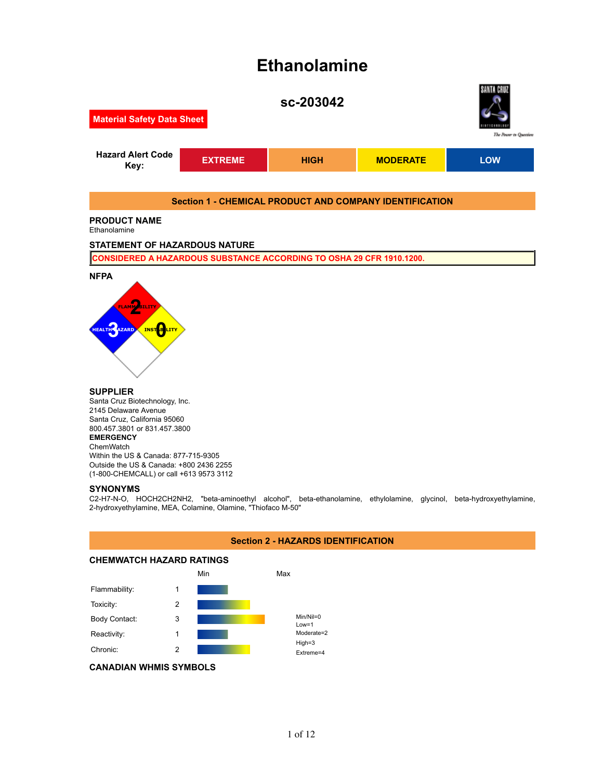# **Ethanolamine**



# **SUPPLIER**

Santa Cruz Biotechnology, Inc. 2145 Delaware Avenue Santa Cruz, California 95060 800.457.3801 or 831.457.3800 **EMERGENCY** ChemWatch Within the US & Canada: 877-715-9305 Outside the US & Canada: +800 2436 2255 (1-800-CHEMCALL) or call +613 9573 3112

## **SYNONYMS**

C2-H7-N-O, HOCH2CH2NH2, "beta-aminoethyl alcohol", beta-ethanolamine, ethylolamine, glycinol, beta-hydroxyethylamine, 2-hydroxyethylamine, MEA, Colamine, Olamine, "Thiofaco M-50"

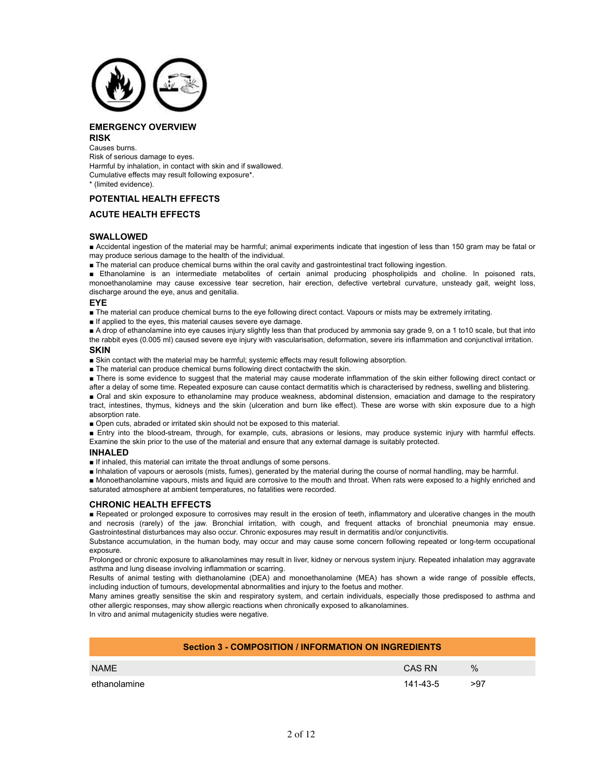

# **EMERGENCY OVERVIEW**

#### **RISK**

Causes burns. Risk of serious damage to eyes. Harmful by inhalation, in contact with skin and if swallowed. Cumulative effects may result following exposure\*. \* (limited evidence).

# **POTENTIAL HEALTH EFFECTS**

# **ACUTE HEALTH EFFECTS**

# **SWALLOWED**

■ Accidental ingestion of the material may be harmful; animal experiments indicate that ingestion of less than 150 gram may be fatal or may produce serious damage to the health of the individual.

■ The material can produce chemical burns within the oral cavity and gastrointestinal tract following ingestion.

■ Ethanolamine is an intermediate metabolites of certain animal producing phospholipids and choline. In poisoned rats, monoethanolamine may cause excessive tear secretion, hair erection, defective vertebral curvature, unsteady gait, weight loss, discharge around the eye, anus and genitalia.

## **EYE**

■ The material can produce chemical burns to the eye following direct contact. Vapours or mists may be extremely irritating.

■ If applied to the eyes, this material causes severe eye damage.

■ A drop of ethanolamine into eye causes injury slightly less than that produced by ammonia say grade 9, on a 1 to10 scale, but that into the rabbit eyes (0.005 ml) caused severe eye injury with vascularisation, deformation, severe iris inflammation and conjunctival irritation.

#### **SKIN**

■ Skin contact with the material may be harmful; systemic effects may result following absorption.

■ The material can produce chemical burns following direct contactwith the skin.

■ There is some evidence to suggest that the material may cause moderate inflammation of the skin either following direct contact or

after a delay of some time. Repeated exposure can cause contact dermatitis which is characterised by redness, swelling and blistering.

■ Oral and skin exposure to ethanolamine may produce weakness, abdominal distension, emaciation and damage to the respiratory tract, intestines, thymus, kidneys and the skin (ulceration and burn like effect). These are worse with skin exposure due to a high absorption rate.

■ Open cuts, abraded or irritated skin should not be exposed to this material.

■ Entry into the blood-stream, through, for example, cuts, abrasions or lesions, may produce systemic injury with harmful effects. Examine the skin prior to the use of the material and ensure that any external damage is suitably protected.

# **INHALED**

■ If inhaled, this material can irritate the throat andlungs of some persons.

■ Inhalation of vapours or aerosols (mists, fumes), generated by the material during the course of normal handling, may be harmful.

■ Monoethanolamine vapours, mists and liquid are corrosive to the mouth and throat. When rats were exposed to a highly enriched and saturated atmosphere at ambient temperatures, no fatalities were recorded.

# **CHRONIC HEALTH EFFECTS**

■ Repeated or prolonged exposure to corrosives may result in the erosion of teeth, inflammatory and ulcerative changes in the mouth and necrosis (rarely) of the jaw. Bronchial irritation, with cough, and frequent attacks of bronchial pneumonia may ensue. Gastrointestinal disturbances may also occur. Chronic exposures may result in dermatitis and/or conjunctivitis.

Substance accumulation, in the human body, may occur and may cause some concern following repeated or long-term occupational exposure.

Prolonged or chronic exposure to alkanolamines may result in liver, kidney or nervous system injury. Repeated inhalation may aggravate asthma and lung disease involving inflammation or scarring.

Results of animal testing with diethanolamine (DEA) and monoethanolamine (MEA) has shown a wide range of possible effects, including induction of tumours, developmental abnormalities and injury to the foetus and mother.

Many amines greatly sensitise the skin and respiratory system, and certain individuals, especially those predisposed to asthma and other allergic responses, may show allergic reactions when chronically exposed to alkanolamines.

In vitro and animal mutagenicity studies were negative.

| <b>Section 3 - COMPOSITION / INFORMATION ON INGREDIENTS</b> |          |      |
|-------------------------------------------------------------|----------|------|
| <b>NAME</b>                                                 | CAS RN   | $\%$ |
| ethanolamine                                                | 141-43-5 | >97  |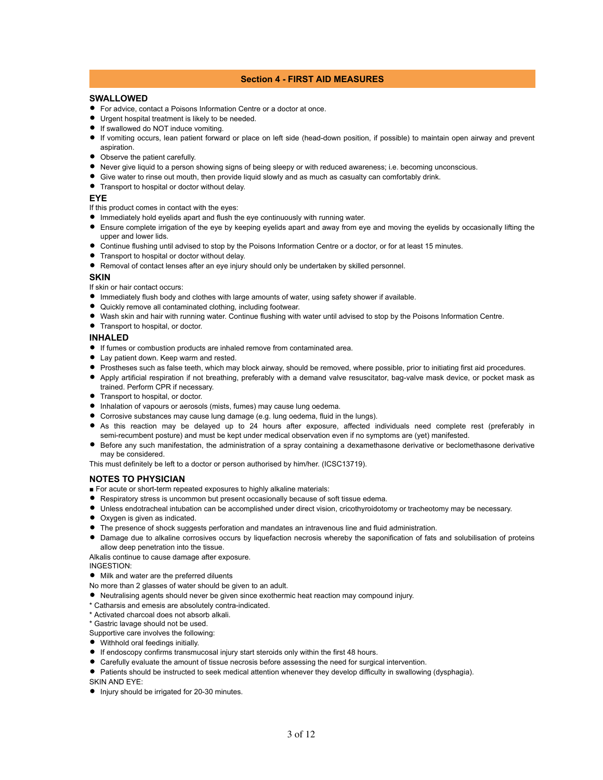# **Section 4 - FIRST AID MEASURES**

# **SWALLOWED**

- For advice, contact a Poisons Information Centre or a doctor at once.
- Urgent hospital treatment is likely to be needed.
- If swallowed do NOT induce vomiting.
- If vomiting occurs, lean patient forward or place on left side (head-down position, if possible) to maintain open airway and prevent aspiration.
- Observe the patient carefully.
- Never give liquid to a person showing signs of being sleepy or with reduced awareness; i.e. becoming unconscious.
- Give water to rinse out mouth, then provide liquid slowly and as much as casualty can comfortably drink.
- **•** Transport to hospital or doctor without delay.

# **EYE**

- If this product comes in contact with the eyes:
- Immediately hold eyelids apart and flush the eye continuously with running water.
- Ensure complete irrigation of the eye by keeping eyelids apart and away from eye and moving the eyelids by occasionally lifting the upper and lower lids.
- Continue flushing until advised to stop by the Poisons Information Centre or a doctor, or for at least 15 minutes.
- **Transport to hospital or doctor without delay.**
- Removal of contact lenses after an eye injury should only be undertaken by skilled personnel.

#### **SKIN**

- If skin or hair contact occurs:
- Immediately flush body and clothes with large amounts of water, using safety shower if available.
- Quickly remove all contaminated clothing, including footwear.
- Wash skin and hair with running water. Continue flushing with water until advised to stop by the Poisons Information Centre.
- Transport to hospital, or doctor.

#### **INHALED**

- If fumes or combustion products are inhaled remove from contaminated area.
- Lay patient down. Keep warm and rested.
- **Prostheses such as false teeth, which may block airway, should be removed, where possible, prior to initiating first aid procedures.**
- Apply artificial respiration if not breathing, preferably with a demand valve resuscitator, bag-valve mask device, or pocket mask as trained. Perform CPR if necessary.
- Transport to hospital, or doctor.
- $\bullet$  Inhalation of vapours or aerosols (mists, fumes) may cause lung oedema.
- Corrosive substances may cause lung damage (e.g. lung oedema, fluid in the lungs).
- As this reaction may be delayed up to 24 hours after exposure, affected individuals need complete rest (preferably in semi-recumbent posture) and must be kept under medical observation even if no symptoms are (yet) manifested.
- Before any such manifestation, the administration of a spray containing a dexamethasone derivative or beclomethasone derivative may be considered.

This must definitely be left to a doctor or person authorised by him/her. (ICSC13719).

# **NOTES TO PHYSICIAN**

- For acute or short-term repeated exposures to highly alkaline materials:
- Respiratory stress is uncommon but present occasionally because of soft tissue edema.
- Unless endotracheal intubation can be accomplished under direct vision, cricothyroidotomy or tracheotomy may be necessary.
- **Oxygen is given as indicated.**
- The presence of shock suggests perforation and mandates an intravenous line and fluid administration.
- Damage due to alkaline corrosives occurs by liquefaction necrosis whereby the saponification of fats and solubilisation of proteins allow deep penetration into the tissue.

Alkalis continue to cause damage after exposure.

INGESTION:

 $\bullet$  Milk and water are the preferred diluents

No more than 2 glasses of water should be given to an adult.

- Neutralising agents should never be given since exothermic heat reaction may compound injury.
- \* Catharsis and emesis are absolutely contra-indicated.
- \* Activated charcoal does not absorb alkali.

\* Gastric lavage should not be used.

Supportive care involves the following:

- Withhold oral feedings initially.
- If endoscopy confirms transmucosal injury start steroids only within the first 48 hours.
- Carefully evaluate the amount of tissue necrosis before assessing the need for surgical intervention.
- Patients should be instructed to seek medical attention whenever they develop difficulty in swallowing (dysphagia).

SKIN AND EYE:

 $\bullet$  Injury should be irrigated for 20-30 minutes.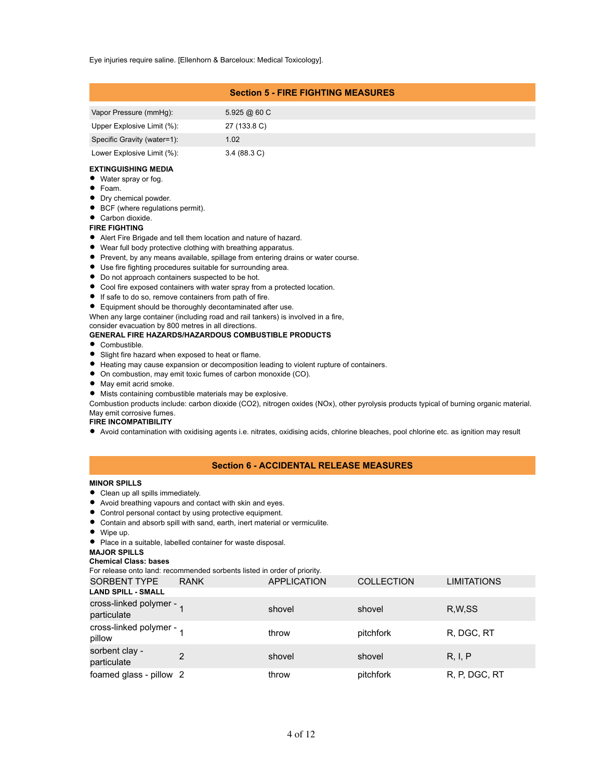Eye injuries require saline. [Ellenhorn & Barceloux: Medical Toxicology].

# **Section 5 - FIRE FIGHTING MEASURES**

| Vapor Pressure (mmHq):      | 5.925@60C             |
|-----------------------------|-----------------------|
| Upper Explosive Limit (%):  | 27 (133.8 C)          |
| Specific Gravity (water=1): | 1.02                  |
| Lower Explosive Limit (%):  | $3.4(88.3 \text{ C})$ |

#### **EXTINGUISHING MEDIA**

- Water spray or fog.
- Foam.
- **Dry chemical powder.**
- BCF (where regulations permit).
- Carbon dioxide.

#### **FIRE FIGHTING**

- Alert Fire Brigade and tell them location and nature of hazard.
- Wear full body protective clothing with breathing apparatus.
- **Prevent, by any means available, spillage from entering drains or water course.**
- Use fire fighting procedures suitable for surrounding area.
- $\bullet$  Do not approach containers suspected to be hot.
- Cool fire exposed containers with water spray from a protected location.
- If safe to do so, remove containers from path of fire.
- Equipment should be thoroughly decontaminated after use.
- When any large container (including road and rail tankers) is involved in a fire,

# consider evacuation by 800 metres in all directions.

# **GENERAL FIRE HAZARDS/HAZARDOUS COMBUSTIBLE PRODUCTS**

- Combustible.
- **•** Slight fire hazard when exposed to heat or flame.
- Heating may cause expansion or decomposition leading to violent rupture of containers.
- On combustion, may emit toxic fumes of carbon monoxide (CO).
- $\bullet$  May emit acrid smoke.
- Mists containing combustible materials may be explosive.

Combustion products include: carbon dioxide (CO2), nitrogen oxides (NOx), other pyrolysis products typical of burning organic material. May emit corrosive fumes.

**FIRE INCOMPATIBILITY**

Avoid contamination with oxidising agents i.e. nitrates, oxidising acids, chlorine bleaches, pool chlorine etc. as ignition may result

# **Section 6 - ACCIDENTAL RELEASE MEASURES**

#### **MINOR SPILLS**

- Clean up all spills immediately.
- Avoid breathing vapours and contact with skin and eyes.
- Control personal contact by using protective equipment.
- Contain and absorb spill with sand, earth, inert material or vermiculite.
- Wipe up.
- **Place in a suitable, labelled container for waste disposal.**

#### **MAJOR SPILLS**

**Chemical Class: bases**

For release onto land: recommended sorbents listed in order of priority.

| <b>SORBENT TYPE</b>                     | <b>RANK</b>   | <b>APPLICATION</b> | <b>COLLECTION</b> | <b>LIMITATIONS</b> |
|-----------------------------------------|---------------|--------------------|-------------------|--------------------|
| <b>LAND SPILL - SMALL</b>               |               |                    |                   |                    |
| cross-linked polymer - 1<br>particulate |               | shovel             | shovel            | R.W.SS             |
| cross-linked polymer - 1<br>pillow      |               | throw              | pitchfork         | R, DGC, RT         |
| sorbent clay -<br>particulate           | $\mathcal{P}$ | shovel             | shovel            | R, I, P            |
| foamed glass - pillow 2                 |               | throw              | pitchfork         | R, P, DGC, RT      |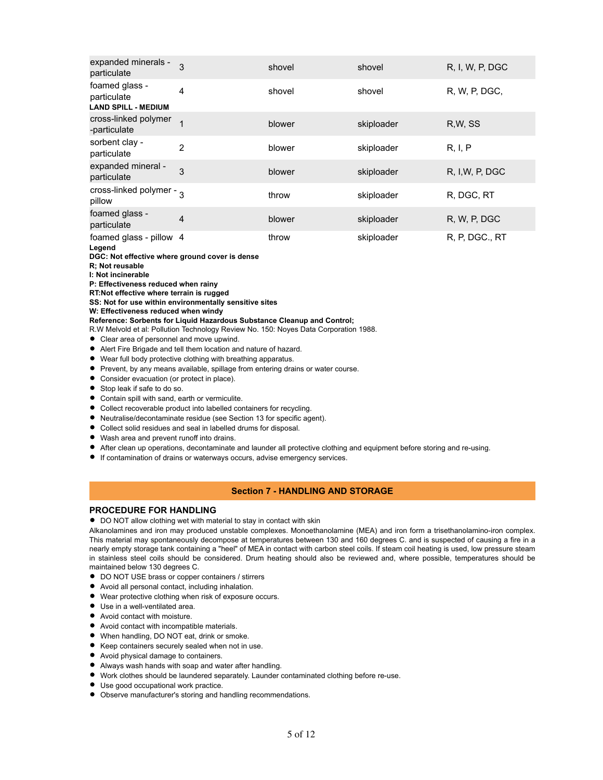| expanded minerals -<br>particulate                          | 3              | shovel | shovel     | R, I, W, P, DGC |
|-------------------------------------------------------------|----------------|--------|------------|-----------------|
| foamed glass -<br>particulate<br><b>LAND SPILL - MEDIUM</b> | 4              | shovel | shovel     | R, W, P, DGC,   |
| cross-linked polymer<br>-particulate                        |                | blower | skiploader | R.W. SS         |
| sorbent clay -<br>particulate                               | 2              | blower | skiploader | R, I, P         |
| expanded mineral -<br>particulate                           | 3              | blower | skiploader | R, I, W, P, DGC |
| cross-linked polymer - $\frac{1}{3}$<br>pillow              |                | throw  | skiploader | R, DGC, RT      |
| foamed glass -<br>particulate                               | $\overline{4}$ | blower | skiploader | R, W, P, DGC    |
| foamed glass - pillow 4<br>Legend                           |                | throw  | skiploader | R, P, DGC., RT  |

**DGC: Not effective where ground cover is dense**

**R; Not reusable**

**I: Not incinerable**

**P: Effectiveness reduced when rainy**

**RT:Not effective where terrain is rugged**

**SS: Not for use within environmentally sensitive sites**

**W: Effectiveness reduced when windy**

**Reference: Sorbents for Liquid Hazardous Substance Cleanup and Control;**

R.W Melvold et al: Pollution Technology Review No. 150: Noyes Data Corporation 1988.

- Clear area of personnel and move upwind.
- $\bullet$ Alert Fire Brigade and tell them location and nature of hazard.
- Wear full body protective clothing with breathing apparatus.
- **Prevent, by any means available, spillage from entering drains or water course.**
- Consider evacuation (or protect in place).
- Stop leak if safe to do so.
- **Contain spill with sand, earth or vermiculite.**
- Collect recoverable product into labelled containers for recycling.
- Neutralise/decontaminate residue (see Section 13 for specific agent).
- Collect solid residues and seal in labelled drums for disposal.
- Wash area and prevent runoff into drains.
- After clean up operations, decontaminate and launder all protective clothing and equipment before storing and re-using.
- **If contamination of drains or waterways occurs, advise emergency services.**

# **Section 7 - HANDLING AND STORAGE**

# **PROCEDURE FOR HANDLING**

 $\bullet$  DO NOT allow clothing wet with material to stay in contact with skin

Alkanolamines and iron may produced unstable complexes. Monoethanolamine (MEA) and iron form a trisethanolamino-iron complex. This material may spontaneously decompose at temperatures between 130 and 160 degrees C. and is suspected of causing a fire in a nearly empty storage tank containing a "heel" of MEA in contact with carbon steel coils. If steam coil heating is used, low pressure steam in stainless steel coils should be considered. Drum heating should also be reviewed and, where possible, temperatures should be maintained below 130 degrees C.

- $\bullet$  DO NOT USE brass or copper containers / stirrers
- Avoid all personal contact, including inhalation.
- Wear protective clothing when risk of exposure occurs.
- Use in a well-ventilated area.
- Avoid contact with moisture.
- Avoid contact with incompatible materials.
- When handling, DO NOT eat, drink or smoke.
- Keep containers securely sealed when not in use.
- Avoid physical damage to containers.
- Always wash hands with soap and water after handling.
- Work clothes should be laundered separately. Launder contaminated clothing before re-use.
- Use good occupational work practice.
- Observe manufacturer's storing and handling recommendations.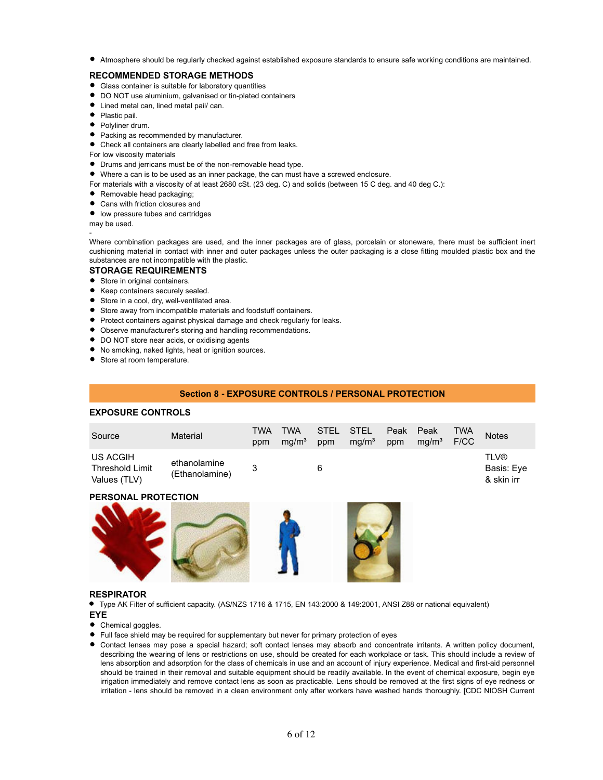Atmosphere should be regularly checked against established exposure standards to ensure safe working conditions are maintained.

# **RECOMMENDED STORAGE METHODS**

- Glass container is suitable for laboratory quantities
- DO NOT use aluminium, galvanised or tin-plated containers
- Lined metal can, lined metal pail/ can.
- Plastic pail.
- Polyliner drum.
- **•** Packing as recommended by manufacturer.
- Check all containers are clearly labelled and free from leaks.

For low viscosity materials

- Drums and jerricans must be of the non-removable head type.
- Where a can is to be used as an inner package, the can must have a screwed enclosure.
- For materials with a viscosity of at least 2680 cSt. (23 deg. C) and solids (between 15 C deg. and 40 deg C.):
- **•** Removable head packaging;
- Cans with friction closures and
- low pressure tubes and cartridges

may be used.

-

Where combination packages are used, and the inner packages are of glass, porcelain or stoneware, there must be sufficient inert cushioning material in contact with inner and outer packages unless the outer packaging is a close fitting moulded plastic box and the substances are not incompatible with the plastic.

# **STORAGE REQUIREMENTS**

- Store in original containers.
- **Keep containers securely sealed.**
- Store in a cool, dry, well-ventilated area.
- Store away from incompatible materials and foodstuff containers.
- **Protect containers against physical damage and check regularly for leaks.**
- Observe manufacturer's storing and handling recommendations.
- $\bullet$  DO NOT store near acids, or oxidising agents
- No smoking, naked lights, heat or ignition sources.
- Store at room temperature.

#### **Section 8 - EXPOSURE CONTROLS / PERSONAL PROTECTION**

# **EXPOSURE CONTROLS**

| Source                                      | Material                       | TWA<br>ppm | <b>TWA</b><br>ma/m <sup>3</sup> | STEL STEL<br>ppm | ma/m <sup>3</sup> | Peak Peak<br>ppm | ma/m <sup>3</sup> | TWA<br>F/CC | <b>Notes</b>                            |
|---------------------------------------------|--------------------------------|------------|---------------------------------|------------------|-------------------|------------------|-------------------|-------------|-----------------------------------------|
| US ACGIH<br>Threshold Limit<br>Values (TLV) | ethanolamine<br>(Ethanolamine) |            |                                 | 6                |                   |                  |                   |             | <b>TLV®</b><br>Basis: Eye<br>& skin irr |

#### **PERSONAL PROTECTION**



#### **RESPIRATOR**

Type AK Filter of sufficient capacity. (AS/NZS 1716 & 1715, EN 143:2000 & 149:2001, ANSI Z88 or national equivalent) **EYE**

- Chemical goggles.
- Full face shield may be required for supplementary but never for primary protection of eyes
- Contact lenses may pose a special hazard; soft contact lenses may absorb and concentrate irritants. A written policy document, describing the wearing of lens or restrictions on use, should be created for each workplace or task. This should include a review of lens absorption and adsorption for the class of chemicals in use and an account of injury experience. Medical and first-aid personnel should be trained in their removal and suitable equipment should be readily available. In the event of chemical exposure, begin eye irrigation immediately and remove contact lens as soon as practicable. Lens should be removed at the first signs of eye redness or irritation - lens should be removed in a clean environment only after workers have washed hands thoroughly. [CDC NIOSH Current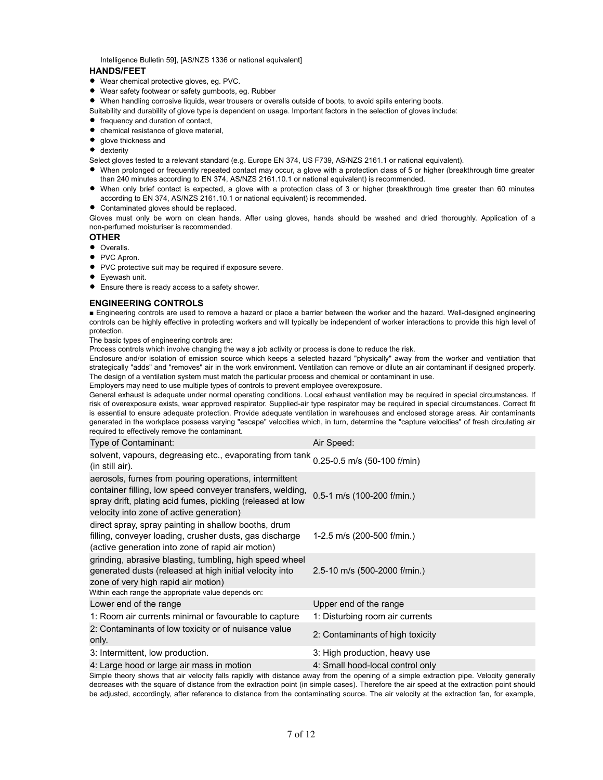Intelligence Bulletin 59], [AS/NZS 1336 or national equivalent]

# **HANDS/FEET**

- Wear chemical protective gloves, eg. PVC.
- Wear safety footwear or safety gumboots, eg. Rubber
- When handling corrosive liquids, wear trousers or overalls outside of boots, to avoid spills entering boots.
- Suitability and durability of glove type is dependent on usage. Important factors in the selection of gloves include:
- frequency and duration of contact,
- chemical resistance of glove material,
- glove thickness and
- **•** dexterity
- Select gloves tested to a relevant standard (e.g. Europe EN 374, US F739, AS/NZS 2161.1 or national equivalent).
- When prolonged or frequently repeated contact may occur, a glove with a protection class of 5 or higher (breakthrough time greater than 240 minutes according to EN 374, AS/NZS 2161.10.1 or national equivalent) is recommended.
- When only brief contact is expected, a glove with a protection class of 3 or higher (breakthrough time greater than 60 minutes according to EN 374, AS/NZS 2161.10.1 or national equivalent) is recommended.
- Contaminated gloves should be replaced.

Gloves must only be worn on clean hands. After using gloves, hands should be washed and dried thoroughly. Application of a non-perfumed moisturiser is recommended.

# **OTHER**

- Overalls.
- PVC Apron.
- PVC protective suit may be required if exposure severe.
- **•** Eyewash unit.
- Ensure there is ready access to a safety shower.

# **ENGINEERING CONTROLS**

■ Engineering controls are used to remove a hazard or place a barrier between the worker and the hazard. Well-designed engineering controls can be highly effective in protecting workers and will typically be independent of worker interactions to provide this high level of protection.

The basic types of engineering controls are:

Process controls which involve changing the way a job activity or process is done to reduce the risk.

Enclosure and/or isolation of emission source which keeps a selected hazard "physically" away from the worker and ventilation that strategically "adds" and "removes" air in the work environment. Ventilation can remove or dilute an air contaminant if designed properly. The design of a ventilation system must match the particular process and chemical or contaminant in use.

Employers may need to use multiple types of controls to prevent employee overexposure.

General exhaust is adequate under normal operating conditions. Local exhaust ventilation may be required in special circumstances. If risk of overexposure exists, wear approved respirator. Supplied-air type respirator may be required in special circumstances. Correct fit is essential to ensure adequate protection. Provide adequate ventilation in warehouses and enclosed storage areas. Air contaminants generated in the workplace possess varying "escape" velocities which, in turn, determine the "capture velocities" of fresh circulating air required to effectively remove the contaminant.

| Type of Contaminant:                                                                                                                                                                                                         | Air Speed:                                                                                                                              |
|------------------------------------------------------------------------------------------------------------------------------------------------------------------------------------------------------------------------------|-----------------------------------------------------------------------------------------------------------------------------------------|
| solvent, vapours, degreasing etc., evaporating from tank 0.25-0.5 m/s (50-100 f/min)<br>(in still air).                                                                                                                      |                                                                                                                                         |
| aerosols, fumes from pouring operations, intermittent<br>container filling, low speed conveyer transfers, welding,<br>spray drift, plating acid fumes, pickling (released at low<br>velocity into zone of active generation) | 0.5-1 m/s (100-200 f/min.)                                                                                                              |
| direct spray, spray painting in shallow booths, drum<br>filling, conveyer loading, crusher dusts, gas discharge<br>(active generation into zone of rapid air motion)                                                         | 1-2.5 m/s (200-500 f/min.)                                                                                                              |
| grinding, abrasive blasting, tumbling, high speed wheel<br>generated dusts (released at high initial velocity into<br>zone of very high rapid air motion)                                                                    | 2.5-10 m/s (500-2000 f/min.)                                                                                                            |
| Within each range the appropriate value depends on:                                                                                                                                                                          |                                                                                                                                         |
| Lower end of the range                                                                                                                                                                                                       | Upper end of the range                                                                                                                  |
| 1: Room air currents minimal or favourable to capture                                                                                                                                                                        | 1: Disturbing room air currents                                                                                                         |
| 2: Contaminants of low toxicity or of nuisance value<br>only.                                                                                                                                                                | 2: Contaminants of high toxicity                                                                                                        |
| 3: Intermittent, low production.                                                                                                                                                                                             | 3: High production, heavy use                                                                                                           |
| 4: Large hood or large air mass in motion                                                                                                                                                                                    | 4: Small hood-local control only                                                                                                        |
|                                                                                                                                                                                                                              | Simple theory shows that air velocity falls rapidly with distance away from the opening of a simple extraction pipe. Velocity generally |

Simple theory shows that air velocity falls rapidly with distance away from the opening of a simple extraction pipe. Velocity generally decreases with the square of distance from the extraction point (in simple cases). Therefore the air speed at the extraction point should be adjusted, accordingly, after reference to distance from the contaminating source. The air velocity at the extraction fan, for example,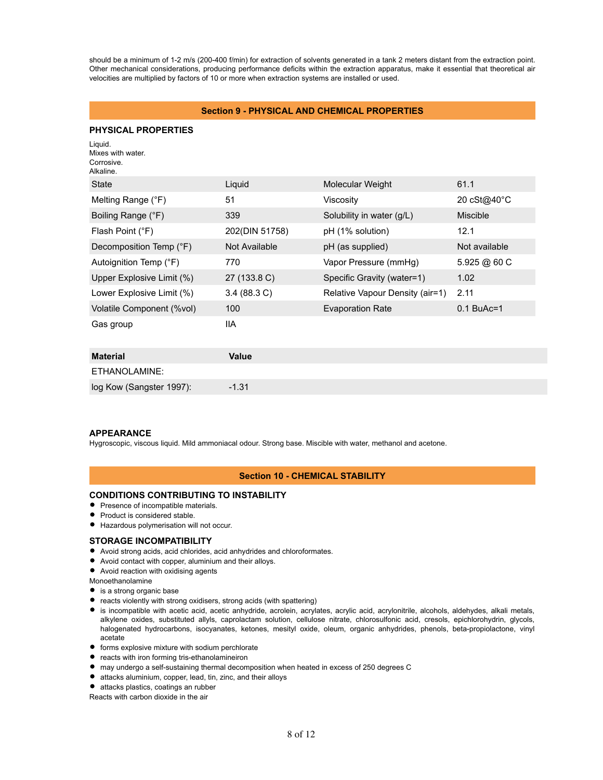should be a minimum of 1-2 m/s (200-400 f/min) for extraction of solvents generated in a tank 2 meters distant from the extraction point. Other mechanical considerations, producing performance deficits within the extraction apparatus, make it essential that theoretical air velocities are multiplied by factors of 10 or more when extraction systems are installed or used.

# **Section 9 - PHYSICAL AND CHEMICAL PROPERTIES**

# **PHYSICAL PROPERTIES**

| Liquid.<br>Mixes with water.<br>Corrosive.<br>Alkaline. |                       |                                 |                 |
|---------------------------------------------------------|-----------------------|---------------------------------|-----------------|
| State                                                   | Liquid                | Molecular Weight                | 61.1            |
| Melting Range (°F)                                      | 51                    | Viscosity                       | 20 cSt@40°C     |
| Boiling Range (°F)                                      | 339                   | Solubility in water (g/L)       | <b>Miscible</b> |
| Flash Point (°F)                                        | 202(DIN 51758)        | pH (1% solution)                | 12.1            |
| Decomposition Temp (°F)                                 | Not Available         | pH (as supplied)                | Not available   |
| Autoignition Temp (°F)                                  | 770                   | Vapor Pressure (mmHg)           | 5.925 @ 60 C    |
| Upper Explosive Limit (%)                               | 27 (133.8 C)          | Specific Gravity (water=1)      | 1.02            |
| Lower Explosive Limit (%)                               | $3.4(88.3 \text{ C})$ | Relative Vapour Density (air=1) | 2.11            |
| Volatile Component (%vol)                               | 100                   | <b>Evaporation Rate</b>         | $0.1$ BuAc=1    |
| Gas group                                               | 11A                   |                                 |                 |
| <b>Material</b>                                         | <b>Value</b>          |                                 |                 |
| ETHANOLAMINE:                                           |                       |                                 |                 |
| log Kow (Sangster 1997):                                | $-1.31$               |                                 |                 |

# **APPEARANCE**

Hygroscopic, viscous liquid. Mild ammoniacal odour. Strong base. Miscible with water, methanol and acetone.

# **Section 10 - CHEMICAL STABILITY**

# **CONDITIONS CONTRIBUTING TO INSTABILITY**

- **•** Presence of incompatible materials.
- Product is considered stable.
- Hazardous polymerisation will not occur.

# **STORAGE INCOMPATIBILITY**

- Avoid strong acids, acid chlorides, acid anhydrides and chloroformates.
- Avoid contact with copper, aluminium and their alloys.
- Avoid reaction with oxidising agents
- Monoethanolamine
- **•** is a strong organic base
- reacts violently with strong oxidisers, strong acids (with spattering)
- is incompatible with acetic acid, acetic anhydride, acrolein, acrylates, acrylic acid, acrylonitrile, alcohols, aldehydes, alkali metals, alkylene oxides, substituted allyls, caprolactam solution, cellulose nitrate, chlorosulfonic acid, cresols, epichlorohydrin, glycols, halogenated hydrocarbons, isocyanates, ketones, mesityl oxide, oleum, organic anhydrides, phenols, beta-propiolactone, vinyl acetate
- **•** forms explosive mixture with sodium perchlorate
- **•** reacts with iron forming tris-ethanolamineiron
- may undergo a self-sustaining thermal decomposition when heated in excess of 250 degrees C
- attacks aluminium, copper, lead, tin, zinc, and their alloys
- attacks plastics, coatings an rubber

Reacts with carbon dioxide in the air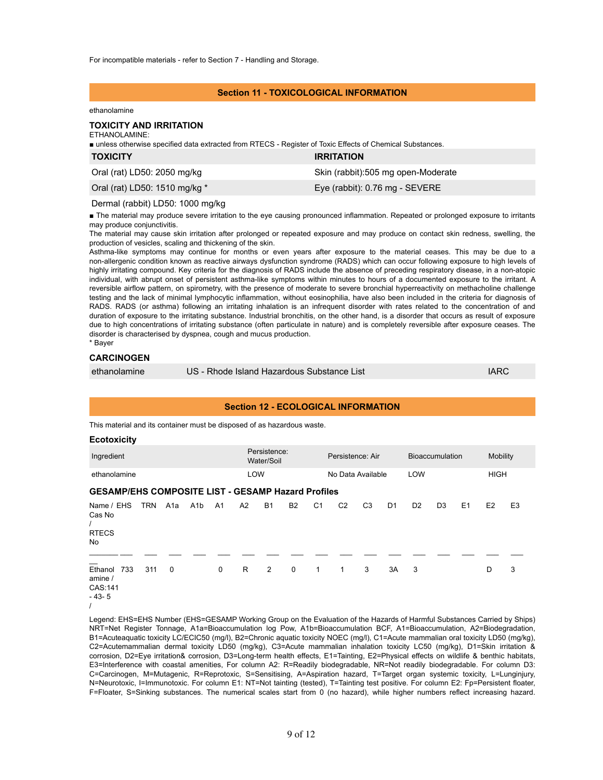For incompatible materials - refer to Section 7 - Handling and Storage.

# **Section 11 - TOXICOLOGICAL INFORMATION**

#### ethanolamine

# **TOXICITY AND IRRITATION**

# ETHANOLAMINE:

■ unless otherwise specified data extracted from RTECS - Register of Toxic Effects of Chemical Substances.

| <b>TOXICITY</b>               | <b>IRRITATION</b>                  |
|-------------------------------|------------------------------------|
| Oral (rat) LD50: 2050 mg/kg   | Skin (rabbit):505 mg open-Moderate |
| Oral (rat) LD50: 1510 mg/kg * | Eye (rabbit): 0.76 mg - SEVERE     |

#### Dermal (rabbit) LD50: 1000 mg/kg

■ The material may produce severe irritation to the eye causing pronounced inflammation. Repeated or prolonged exposure to irritants may produce conjunctivitis.

The material may cause skin irritation after prolonged or repeated exposure and may produce on contact skin redness, swelling, the production of vesicles, scaling and thickening of the skin.

Asthma-like symptoms may continue for months or even years after exposure to the material ceases. This may be due to a non-allergenic condition known as reactive airways dysfunction syndrome (RADS) which can occur following exposure to high levels of highly irritating compound. Key criteria for the diagnosis of RADS include the absence of preceding respiratory disease, in a non-atopic individual, with abrupt onset of persistent asthma-like symptoms within minutes to hours of a documented exposure to the irritant. A reversible airflow pattern, on spirometry, with the presence of moderate to severe bronchial hyperreactivity on methacholine challenge testing and the lack of minimal lymphocytic inflammation, without eosinophilia, have also been included in the criteria for diagnosis of RADS. RADS (or asthma) following an irritating inhalation is an infrequent disorder with rates related to the concentration of and duration of exposure to the irritating substance. Industrial bronchitis, on the other hand, is a disorder that occurs as result of exposure due to high concentrations of irritating substance (often particulate in nature) and is completely reversible after exposure ceases. The disorder is characterised by dyspnea, cough and mucus production. \* Bayer

# **CARCINOGEN**

| ethanolamine | US - Rhode Island Hazardous Substance List | <b>IARC</b> |
|--------------|--------------------------------------------|-------------|
|              |                                            |             |

# **Section 12 - ECOLOGICAL INFORMATION**

This material and its container must be disposed of as hazardous waste.

| <b>Ecotoxicity</b>                                        |            |     |                  |                |     |                            |             |                |                   |                |                |                |                        |    |                |                |
|-----------------------------------------------------------|------------|-----|------------------|----------------|-----|----------------------------|-------------|----------------|-------------------|----------------|----------------|----------------|------------------------|----|----------------|----------------|
| Ingredient                                                |            |     |                  |                |     | Persistence:<br>Water/Soil |             |                | Persistence: Air  |                |                |                | <b>Bioaccumulation</b> |    | Mobility       |                |
| ethanolamine                                              |            |     |                  |                | LOW |                            |             |                | No Data Available |                |                | LOW            |                        |    | <b>HIGH</b>    |                |
| <b>GESAMP/EHS COMPOSITE LIST - GESAMP Hazard Profiles</b> |            |     |                  |                |     |                            |             |                |                   |                |                |                |                        |    |                |                |
| Name / EHS<br>Cas No<br><b>RTECS</b><br>No.               | <b>TRN</b> | A1a | A <sub>1</sub> b | A <sub>1</sub> | A2  | <b>B1</b>                  | <b>B2</b>   | C <sub>1</sub> | C <sub>2</sub>    | C <sub>3</sub> | D <sub>1</sub> | D <sub>2</sub> | D <sub>3</sub>         | E1 | E <sub>2</sub> | E <sub>3</sub> |
| Ethanol<br>733<br>amine /<br>CAS:141<br>$-43-5$           | 311        | 0   |                  | $\mathbf 0$    | R.  | $\overline{2}$             | $\mathbf 0$ | 1              | 1                 | 3              | 3A             | 3              |                        |    | D              | 3              |

<sup>/</sup>

Legend: EHS=EHS Number (EHS=GESAMP Working Group on the Evaluation of the Hazards of Harmful Substances Carried by Ships) NRT=Net Register Tonnage, A1a=Bioaccumulation log Pow, A1b=Bioaccumulation BCF, A1=Bioaccumulation, A2=Biodegradation, B1=Acuteaquatic toxicity LC/ECIC50 (mg/l), B2=Chronic aquatic toxicity NOEC (mg/l), C1=Acute mammalian oral toxicity LD50 (mg/kg), C2=Acutemammalian dermal toxicity LD50 (mg/kg), C3=Acute mammalian inhalation toxicity LC50 (mg/kg), D1=Skin irritation & corrosion, D2=Eye irritation& corrosion, D3=Long-term health effects, E1=Tainting, E2=Physical effects on wildlife & benthic habitats, E3=Interference with coastal amenities, For column A2: R=Readily biodegradable, NR=Not readily biodegradable. For column D3: C=Carcinogen, M=Mutagenic, R=Reprotoxic, S=Sensitising, A=Aspiration hazard, T=Target organ systemic toxicity, L=Lunginjury, N=Neurotoxic, I=Immunotoxic. For column E1: NT=Not tainting (tested), T=Tainting test positive. For column E2: Fp=Persistent floater, F=Floater, S=Sinking substances. The numerical scales start from 0 (no hazard), while higher numbers reflect increasing hazard.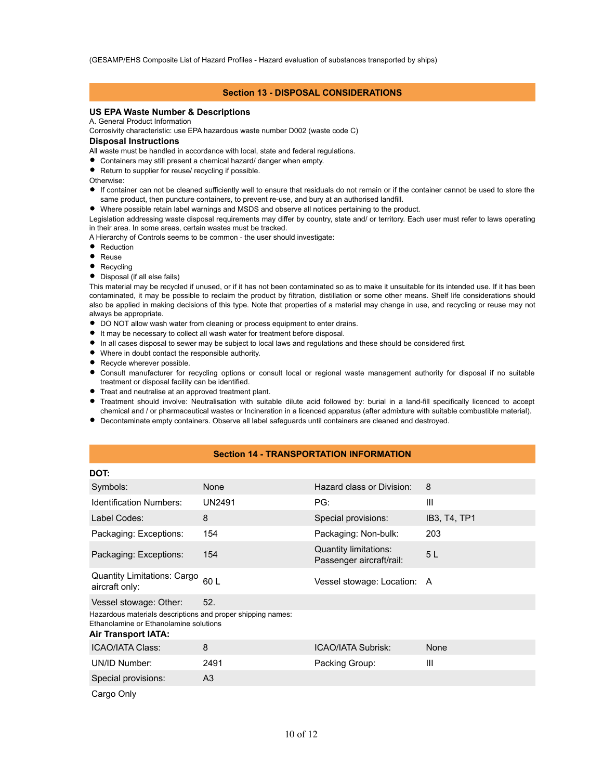(GESAMP/EHS Composite List of Hazard Profiles - Hazard evaluation of substances transported by ships)

# **Section 13 - DISPOSAL CONSIDERATIONS**

# **US EPA Waste Number & Descriptions**

#### A. General Product Information

Corrosivity characteristic: use EPA hazardous waste number D002 (waste code C)

# **Disposal Instructions**

- All waste must be handled in accordance with local, state and federal regulations.
- Containers may still present a chemical hazard/ danger when empty.
- Return to supplier for reuse/ recycling if possible.

Otherwise:

- If container can not be cleaned sufficiently well to ensure that residuals do not remain or if the container cannot be used to store the same product, then puncture containers, to prevent re-use, and bury at an authorised landfill.
- Where possible retain label warnings and MSDS and observe all notices pertaining to the product.

Legislation addressing waste disposal requirements may differ by country, state and/ or territory. Each user must refer to laws operating in their area. In some areas, certain wastes must be tracked.

A Hierarchy of Controls seems to be common - the user should investigate:

- Reduction
- Reuse
- $\bullet$ Recycling
- Disposal (if all else fails)

This material may be recycled if unused, or if it has not been contaminated so as to make it unsuitable for its intended use. If it has been contaminated, it may be possible to reclaim the product by filtration, distillation or some other means. Shelf life considerations should also be applied in making decisions of this type. Note that properties of a material may change in use, and recycling or reuse may not always be appropriate.

- $\bullet$  DO NOT allow wash water from cleaning or process equipment to enter drains.
- It may be necessary to collect all wash water for treatment before disposal.
- In all cases disposal to sewer may be subject to local laws and regulations and these should be considered first.
- Where in doubt contact the responsible authority.
- Recycle wherever possible.
- Consult manufacturer for recycling options or consult local or regional waste management authority for disposal if no suitable treatment or disposal facility can be identified.
- Treat and neutralise at an approved treatment plant.
- Treatment should involve: Neutralisation with suitable dilute acid followed by: burial in a land-fill specifically licenced to accept chemical and / or pharmaceutical wastes or Incineration in a licenced apparatus (after admixture with suitable combustible material).
- Decontaminate empty containers. Observe all label safeguards until containers are cleaned and destroyed.

# **Section 14 - TRANSPORTATION INFORMATION**

| DOT:                                                                                                                                |               |                                                   |              |
|-------------------------------------------------------------------------------------------------------------------------------------|---------------|---------------------------------------------------|--------------|
| Symbols:                                                                                                                            | None          | Hazard class or Division:                         | 8            |
| <b>Identification Numbers:</b>                                                                                                      | <b>UN2491</b> | PG:                                               | Ш            |
| Label Codes:                                                                                                                        | 8             | Special provisions:                               | IB3, T4, TP1 |
| Packaging: Exceptions:                                                                                                              | 154           | Packaging: Non-bulk:                              | 203          |
| Packaging: Exceptions:                                                                                                              | 154           | Quantity limitations:<br>Passenger aircraft/rail: | 5L           |
| Quantity Limitations: Cargo<br>aircraft only:                                                                                       | 60L           | Vessel stowage: Location: A                       |              |
| Vessel stowage: Other:                                                                                                              | 52.           |                                                   |              |
| Hazardous materials descriptions and proper shipping names:<br>Ethanolamine or Ethanolamine solutions<br><b>Air Transport IATA:</b> |               |                                                   |              |
| <b>ICAO/IATA Class:</b>                                                                                                             | 8             | <b>ICAO/IATA Subrisk:</b>                         | None         |
| UN/ID Number:                                                                                                                       | 2491          | Packing Group:                                    | Ш            |
| Special provisions:                                                                                                                 | A3            |                                                   |              |
| Cargo Only                                                                                                                          |               |                                                   |              |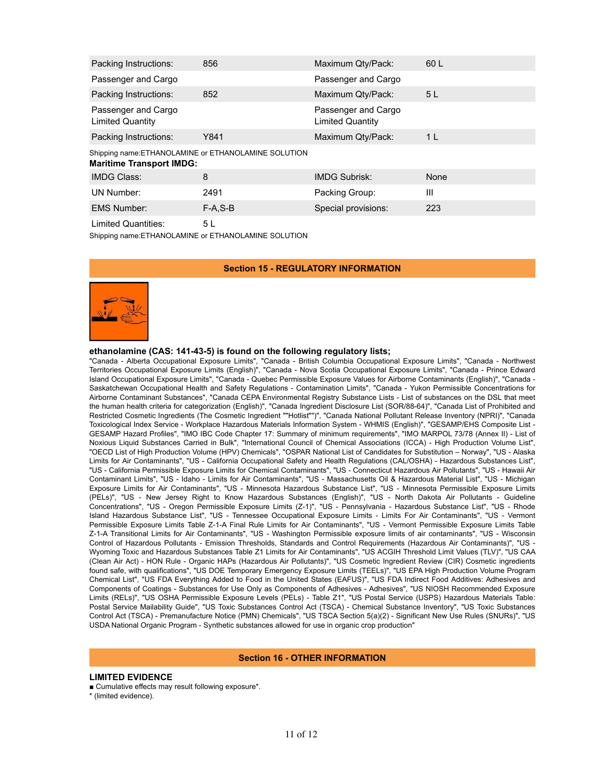| Packing Instructions:                                                                   | 856       | Maximum Qty/Pack:                              | 60 L           |
|-----------------------------------------------------------------------------------------|-----------|------------------------------------------------|----------------|
| Passenger and Cargo                                                                     |           | Passenger and Cargo                            |                |
| Packing Instructions:                                                                   | 852       | Maximum Qty/Pack:                              | 5 <sub>L</sub> |
| Passenger and Cargo<br><b>Limited Quantity</b>                                          |           | Passenger and Cargo<br><b>Limited Quantity</b> |                |
| Packing Instructions:                                                                   | Y841      | Maximum Qty/Pack:                              | 1 <sup>L</sup> |
| Shipping name: ETHANOLAMINE or ETHANOLAMINE SOLUTION<br><b>Maritime Transport IMDG:</b> |           |                                                |                |
| <b>IMDG Class:</b>                                                                      | 8         | <b>IMDG Subrisk:</b>                           | None           |
| UN Number:                                                                              | 2491      | Packing Group:                                 | Ш              |
| <b>EMS Number:</b>                                                                      | $F-A.S-B$ | Special provisions:                            | 223            |

Limited Quantities: 5 L

Shipping name:ETHANOLAMINE or ETHANOLAMINE SOLUTION

# **Section 15 - REGULATORY INFORMATION**



# **ethanolamine (CAS: 141-43-5) is found on the following regulatory lists;**

"Canada - Alberta Occupational Exposure Limits", "Canada - British Columbia Occupational Exposure Limits", "Canada - Northwest Territories Occupational Exposure Limits (English)", "Canada - Nova Scotia Occupational Exposure Limits", "Canada - Prince Edward Island Occupational Exposure Limits", "Canada - Quebec Permissible Exposure Values for Airborne Contaminants (English)", "Canada - Saskatchewan Occupational Health and Safety Regulations - Contamination Limits", "Canada - Yukon Permissible Concentrations for Airborne Contaminant Substances", "Canada CEPA Environmental Registry Substance Lists - List of substances on the DSL that meet the human health criteria for categorization (English)", "Canada Ingredient Disclosure List (SOR/88-64)", "Canada List of Prohibited and Restricted Cosmetic Ingredients (The Cosmetic Ingredient ""Hotlist"")", "Canada National Pollutant Release Inventory (NPRI)", "Canada Toxicological Index Service - Workplace Hazardous Materials Information System - WHMIS (English)", "GESAMP/EHS Composite List - GESAMP Hazard Profiles", "IMO IBC Code Chapter 17: Summary of minimum requirements", "IMO MARPOL 73/78 (Annex II) - List of Noxious Liquid Substances Carried in Bulk", "International Council of Chemical Associations (ICCA) - High Production Volume List", "OECD List of High Production Volume (HPV) Chemicals", "OSPAR National List of Candidates for Substitution – Norway", "US - Alaska Limits for Air Contaminants", "US - California Occupational Safety and Health Regulations (CAL/OSHA) - Hazardous Substances List", "US - California Permissible Exposure Limits for Chemical Contaminants", "US - Connecticut Hazardous Air Pollutants", "US - Hawaii Air Contaminant Limits", "US - Idaho - Limits for Air Contaminants", "US - Massachusetts Oil & Hazardous Material List", "US - Michigan Exposure Limits for Air Contaminants", "US - Minnesota Hazardous Substance List", "US - Minnesota Permissible Exposure Limits (PELs)", "US - New Jersey Right to Know Hazardous Substances (English)", "US - North Dakota Air Pollutants - Guideline Concentrations", "US - Oregon Permissible Exposure Limits (Z-1)", "US - Pennsylvania - Hazardous Substance List", "US - Rhode Island Hazardous Substance List", "US - Tennessee Occupational Exposure Limits - Limits For Air Contaminants", "US - Vermont Permissible Exposure Limits Table Z-1-A Final Rule Limits for Air Contaminants", "US - Vermont Permissible Exposure Limits Table Z-1-A Transitional Limits for Air Contaminants", "US - Washington Permissible exposure limits of air contaminants", "US - Wisconsin Control of Hazardous Pollutants - Emission Thresholds, Standards and Control Requirements (Hazardous Air Contaminants)", "US - Wyoming Toxic and Hazardous Substances Table Z1 Limits for Air Contaminants", "US ACGIH Threshold Limit Values (TLV)", "US CAA (Clean Air Act) - HON Rule - Organic HAPs (Hazardous Air Pollutants)", "US Cosmetic Ingredient Review (CIR) Cosmetic ingredients found safe, with qualifications", "US DOE Temporary Emergency Exposure Limits (TEELs)", "US EPA High Production Volume Program Chemical List", "US FDA Everything Added to Food in the United States (EAFUS)", "US FDA Indirect Food Additives: Adhesives and Components of Coatings - Substances for Use Only as Components of Adhesives - Adhesives", "US NIOSH Recommended Exposure Limits (RELs)", "US OSHA Permissible Exposure Levels (PELs) - Table Z1", "US Postal Service (USPS) Hazardous Materials Table: Postal Service Mailability Guide", "US Toxic Substances Control Act (TSCA) - Chemical Substance Inventory", "US Toxic Substances Control Act (TSCA) - Premanufacture Notice (PMN) Chemicals", "US TSCA Section 5(a)(2) - Significant New Use Rules (SNURs)", "US USDA National Organic Program - Synthetic substances allowed for use in organic crop production"

#### **Section 16 - OTHER INFORMATION**

# **LIMITED EVIDENCE**

■ Cumulative effects may result following exposure\*.

\* (limited evidence).